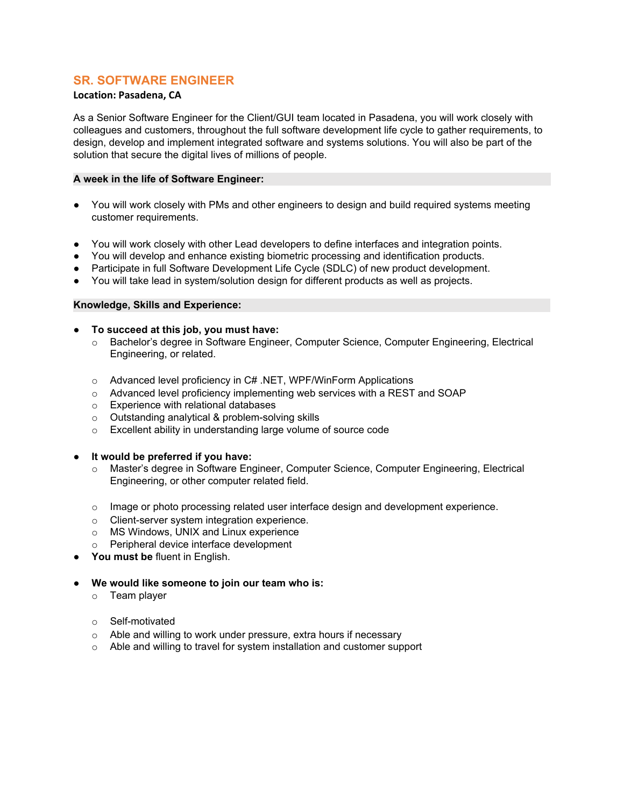# **SR. SOFTWARE ENGINEER**

# **Location: Pasadena, CA**

As a Senior Software Engineer for the Client/GUI team located in Pasadena, you will work closely with colleagues and customers, throughout the full software development life cycle to gather requirements, to design, develop and implement integrated software and systems solutions. You will also be part of the solution that secure the digital lives of millions of people.

## **A week in the life of Software Engineer:**

- You will work closely with PMs and other engineers to design and build required systems meeting customer requirements.
- You will work closely with other Lead developers to define interfaces and integration points.
- You will develop and enhance existing biometric processing and identification products.
- Participate in full Software Development Life Cycle (SDLC) of new product development.
- You will take lead in system/solution design for different products as well as projects.

- **To succeed at this job, you must have:**
	- o Bachelor's degree in Software Engineer, Computer Science, Computer Engineering, Electrical Engineering, or related.
	- o Advanced level proficiency in C# .NET, WPF/WinForm Applications
	- o Advanced level proficiency implementing web services with a REST and SOAP
	- o Experience with relational databases
	- o Outstanding analytical & problem-solving skills
	- o Excellent ability in understanding large volume of source code
- **It would be preferred if you have:**<br>○ Master's degree in Software Eng
	- Master's degree in Software Engineer, Computer Science, Computer Engineering, Electrical Engineering, or other computer related field.
	- $\circ$  Image or photo processing related user interface design and development experience.
	- o Client-server system integration experience.
	- o MS Windows, UNIX and Linux experience
	- o Peripheral device interface development
- **You must be** fluent in English.
- **We would like someone to join our team who is:**
	- o Team player
	- o Self-motivated
	- o Able and willing to work under pressure, extra hours if necessary
	- o Able and willing to travel for system installation and customer support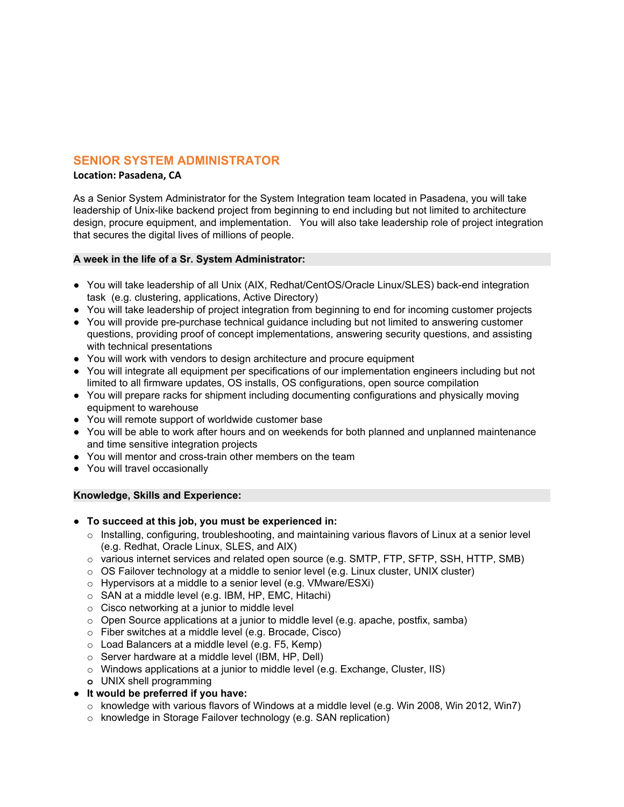# **SENIOR SYSTEM ADMINISTRATOR**

## **Location: Pasadena, CA**

As a Senior System Administrator for the System Integration team located in Pasadena, you will take leadership of Unix-like backend project from beginning to end including but not limited to architecture design, procure equipment, and implementation. You will also take leadership role of project integration that secures the digital lives of millions of people.

## **A week in the life of a Sr. System Administrator:**

- You will take leadership of all Unix (AIX, Redhat/CentOS/Oracle Linux/SLES) back-end integration task (e.g. clustering, applications, Active Directory)
- You will take leadership of project integration from beginning to end for incoming customer projects
- You will provide pre-purchase technical guidance including but not limited to answering customer questions, providing proof of concept implementations, answering security questions, and assisting with technical presentations
- You will work with vendors to design architecture and procure equipment
- You will integrate all equipment per specifications of our implementation engineers including but not limited to all firmware updates, OS installs, OS configurations, open source compilation
- You will prepare racks for shipment including documenting configurations and physically moving equipment to warehouse
- You will remote support of worldwide customer base
- You will be able to work after hours and on weekends for both planned and unplanned maintenance and time sensitive integration projects
- You will mentor and cross-train other members on the team
- You will travel occasionally

- **To succeed at this job, you must be experienced in:**
	- $\circ$  Installing, configuring, troubleshooting, and maintaining various flavors of Linux at a senior level (e.g. Redhat, Oracle Linux, SLES, and AIX)
	- $\circ$  various internet services and related open source (e.g. SMTP, FTP, SFTP, SSH, HTTP, SMB)
	- o OS Failover technology at a middle to senior level (e.g. Linux cluster, UNIX cluster)
	- o Hypervisors at a middle to a senior level (e.g. VMware/ESXi)
	- o SAN at a middle level (e.g. IBM, HP, EMC, Hitachi)
	- o Cisco networking at a junior to middle level
	- $\circ$  Open Source applications at a junior to middle level (e.g. apache, postfix, samba)
	- o Fiber switches at a middle level (e.g. Brocade, Cisco)
	- o Load Balancers at a middle level (e.g. F5, Kemp)
	- o Server hardware at a middle level (IBM, HP, Dell)
	- $\circ$  Windows applications at a junior to middle level (e.g. Exchange, Cluster, IIS)
	- **o** UNIX shell programming
- **It would be preferred if you have:**
	- o knowledge with various flavors of Windows at a middle level (e.g. Win 2008, Win 2012, Win7)
	- o knowledge in Storage Failover technology (e.g. SAN replication)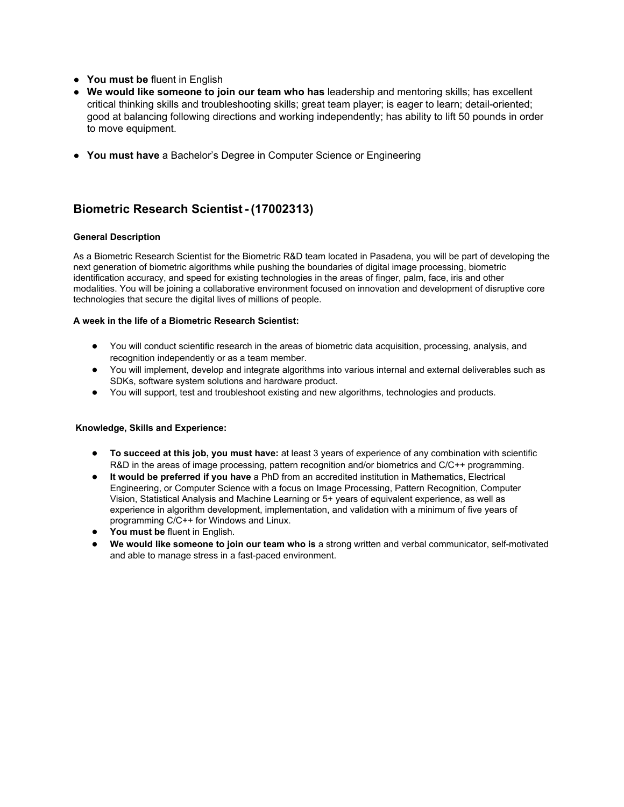- **You must be** fluent in English
- **We would like someone to join our team who has** leadership and mentoring skills; has excellent critical thinking skills and troubleshooting skills; great team player; is eager to learn; detail-oriented; good at balancing following directions and working independently; has ability to lift 50 pounds in order to move equipment.
- **You must have** a Bachelor's Degree in Computer Science or Engineering

# **Biometric Research Scientist - (17002313)**

## **General Description**

As a Biometric Research Scientist for the Biometric R&D team located in Pasadena, you will be part of developing the next generation of biometric algorithms while pushing the boundaries of digital image processing, biometric identification accuracy, and speed for existing technologies in the areas of finger, palm, face, iris and other modalities. You will be joining a collaborative environment focused on innovation and development of disruptive core technologies that secure the digital lives of millions of people.

## **A week in the life of a Biometric Research Scientist:**

- You will conduct scientific research in the areas of biometric data acquisition, processing, analysis, and recognition independently or as a team member.
- You will implement, develop and integrate algorithms into various internal and external deliverables such as SDKs, software system solutions and hardware product.
- You will support, test and troubleshoot existing and new algorithms, technologies and products.

- **To succeed at this job, you must have:** at least 3 years of experience of any combination with scientific R&D in the areas of image processing, pattern recognition and/or biometrics and C/C++ programming.
- **It would be preferred if you have** a PhD from an accredited institution in Mathematics, Electrical Engineering, or Computer Science with a focus on Image Processing, Pattern Recognition, Computer Vision, Statistical Analysis and Machine Learning or 5+ years of equivalent experience, as well as experience in algorithm development, implementation, and validation with a minimum of five years of programming C/C++ for Windows and Linux.
- **You must be** fluent in English.
- **We would like someone to join our team who is** a strong written and verbal communicator, self-motivated and able to manage stress in a fast-paced environment.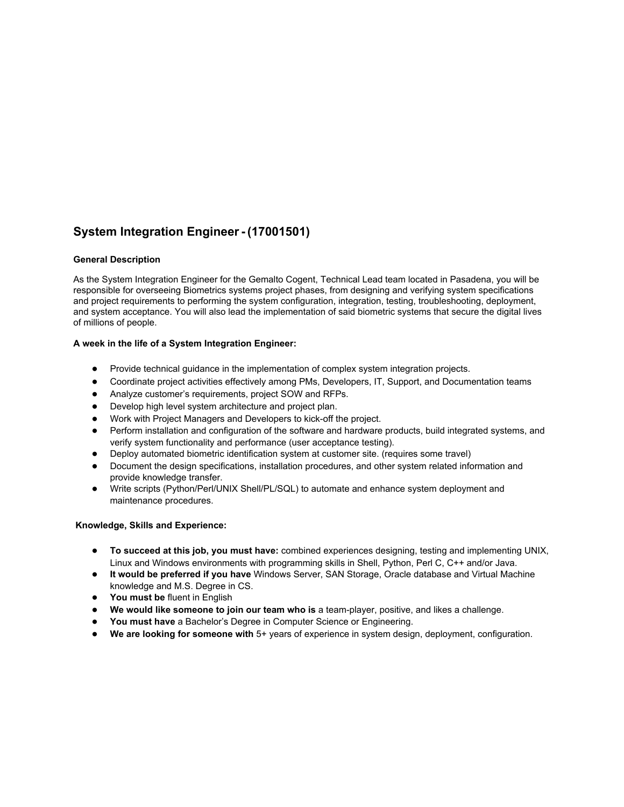# **System Integration Engineer - (17001501)**

## **General Description**

As the System Integration Engineer for the Gemalto Cogent, Technical Lead team located in Pasadena, you will be responsible for overseeing Biometrics systems project phases, from designing and verifying system specifications and project requirements to performing the system configuration, integration, testing, troubleshooting, deployment, and system acceptance. You will also lead the implementation of said biometric systems that secure the digital lives of millions of people.

## **A week in the life of a System Integration Engineer:**

- Provide technical guidance in the implementation of complex system integration projects.
- Coordinate project activities effectively among PMs, Developers, IT, Support, and Documentation teams
- Analyze customer's requirements, project SOW and RFPs.
- Develop high level system architecture and project plan.
- Work with Project Managers and Developers to kick-off the project.
- Perform installation and configuration of the software and hardware products, build integrated systems, and verify system functionality and performance (user acceptance testing).
- Deploy automated biometric identification system at customer site. (requires some travel)
- Document the design specifications, installation procedures, and other system related information and provide knowledge transfer.
- Write scripts (Python/Perl/UNIX Shell/PL/SQL) to automate and enhance system deployment and maintenance procedures.

- **To succeed at this job, you must have:** combined experiences designing, testing and implementing UNIX, Linux and Windows environments with programming skills in Shell, Python, Perl C, C++ and/or Java.
- **It would be preferred if you have** Windows Server, SAN Storage, Oracle database and Virtual Machine knowledge and M.S. Degree in CS.
- **You must be** fluent in English
- **We would like someone to join our team who is** a team-player, positive, and likes a challenge.
- **You must have** a Bachelor's Degree in Computer Science or Engineering.
- **We are looking for someone with** 5+ years of experience in system design, deployment, configuration.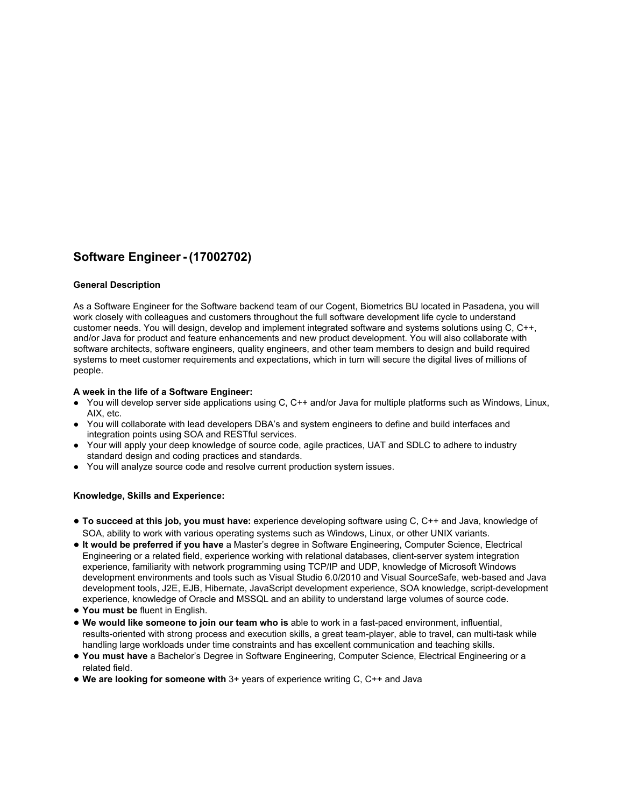# **Software Engineer - (17002702)**

#### **General Description**

As a Software Engineer for the Software backend team of our Cogent, Biometrics BU located in Pasadena, you will work closely with colleagues and customers throughout the full software development life cycle to understand customer needs. You will design, develop and implement integrated software and systems solutions using C, C++, and/or Java for product and feature enhancements and new product development. You will also collaborate with software architects, software engineers, quality engineers, and other team members to design and build required systems to meet customer requirements and expectations, which in turn will secure the digital lives of millions of people.

#### **A week in the life of a Software Engineer:**

- You will develop server side applications using C, C++ and/or Java for multiple platforms such as Windows, Linux, AIX, etc.
- You will collaborate with lead developers DBA's and system engineers to define and build interfaces and integration points using SOA and RESTful services.
- Your will apply your deep knowledge of source code, agile practices, UAT and SDLC to adhere to industry standard design and coding practices and standards.
- You will analyze source code and resolve current production system issues.

- **To succeed at this job, you must have:** experience developing software using C, C++ and Java, knowledge of SOA, ability to work with various operating systems such as Windows, Linux, or other UNIX variants.
- **It would be preferred if you have** a Master's degree in Software Engineering, Computer Science, Electrical Engineering or a related field, experience working with relational databases, client-server system integration experience, familiarity with network programming using TCP/IP and UDP, knowledge of Microsoft Windows development environments and tools such as Visual Studio 6.0/2010 and Visual SourceSafe, web-based and Java development tools, J2E, EJB, Hibernate, JavaScript development experience, SOA knowledge, script-development experience, knowledge of Oracle and MSSQL and an ability to understand large volumes of source code.
- **You must be** fluent in English.
- **We would like someone to join our team who is** able to work in a fast-paced environment, influential, results-oriented with strong process and execution skills, a great team-player, able to travel, can multi-task while handling large workloads under time constraints and has excellent communication and teaching skills.
- **You must have** a Bachelor's Degree in Software Engineering, Computer Science, Electrical Engineering or a related field.
- **We are looking for someone with** 3+ years of experience writing C, C++ and Java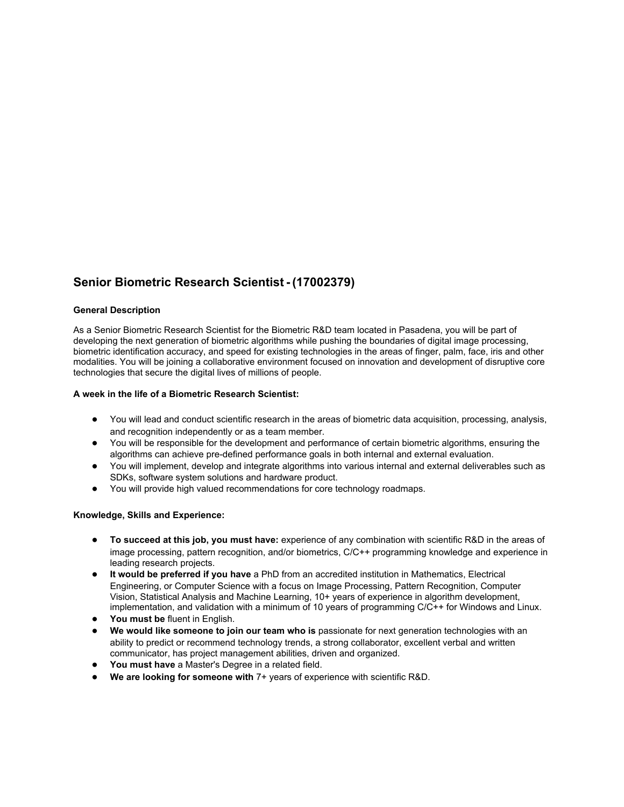# **Senior Biometric Research Scientist - (17002379)**

#### **General Description**

As a Senior Biometric Research Scientist for the Biometric R&D team located in Pasadena, you will be part of developing the next generation of biometric algorithms while pushing the boundaries of digital image processing, biometric identification accuracy, and speed for existing technologies in the areas of finger, palm, face, iris and other modalities. You will be joining a collaborative environment focused on innovation and development of disruptive core technologies that secure the digital lives of millions of people.

#### **A week in the life of a Biometric Research Scientist:**

- You will lead and conduct scientific research in the areas of biometric data acquisition, processing, analysis, and recognition independently or as a team member.
- You will be responsible for the development and performance of certain biometric algorithms, ensuring the algorithms can achieve pre-defined performance goals in both internal and external evaluation.
- You will implement, develop and integrate algorithms into various internal and external deliverables such as SDKs, software system solutions and hardware product.
- You will provide high valued recommendations for core technology roadmaps.

- **To succeed at this job, you must have:** experience of any combination with scientific R&D in the areas of image processing, pattern recognition, and/or biometrics, C/C++ programming knowledge and experience in leading research projects.
- **It would be preferred if you have** a PhD from an accredited institution in Mathematics, Electrical Engineering, or Computer Science with a focus on Image Processing, Pattern Recognition, Computer Vision, Statistical Analysis and Machine Learning, 10+ years of experience in algorithm development, implementation, and validation with a minimum of 10 years of programming C/C++ for Windows and Linux.
- **You must be** fluent in English.
- **We would like someone to join our team who is** passionate for next generation technologies with an ability to predict or recommend technology trends, a strong collaborator, excellent verbal and written communicator, has project management abilities, driven and organized.
- **You must have** a Master's Degree in a related field.
- **We are looking for someone with** 7+ years of experience with scientific R&D.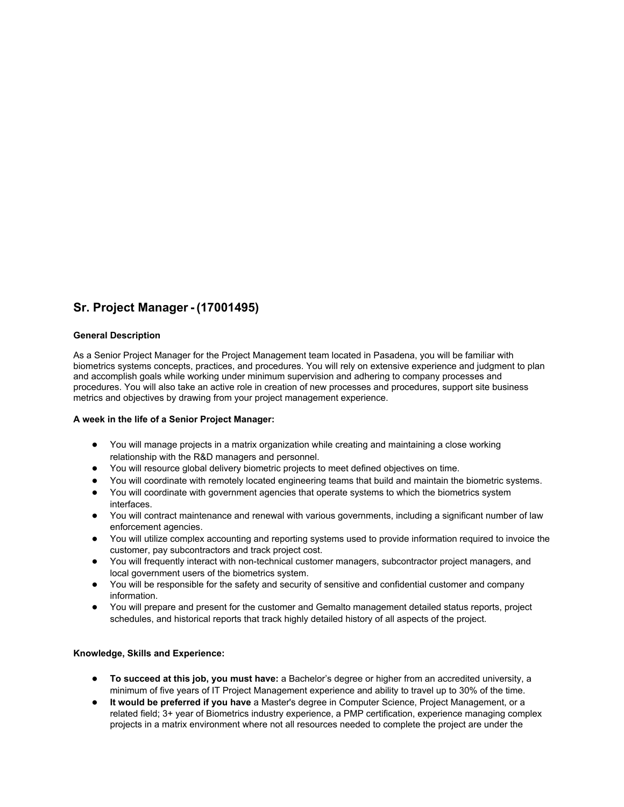# **Sr. Project Manager - (17001495)**

## **General Description**

As a Senior Project Manager for the Project Management team located in Pasadena, you will be familiar with biometrics systems concepts, practices, and procedures. You will rely on extensive experience and judgment to plan and accomplish goals while working under minimum supervision and adhering to company processes and procedures. You will also take an active role in creation of new processes and procedures, support site business metrics and objectives by drawing from your project management experience.

#### **A week in the life of a Senior Project Manager:**

- You will manage projects in a matrix organization while creating and maintaining a close working relationship with the R&D managers and personnel.
- You will resource global delivery biometric projects to meet defined objectives on time.
- You will coordinate with remotely located engineering teams that build and maintain the biometric systems.
- You will coordinate with government agencies that operate systems to which the biometrics system interfaces.
- You will contract maintenance and renewal with various governments, including a significant number of law enforcement agencies.
- You will utilize complex accounting and reporting systems used to provide information required to invoice the customer, pay subcontractors and track project cost.
- You will frequently interact with non-technical customer managers, subcontractor project managers, and local government users of the biometrics system.
- You will be responsible for the safety and security of sensitive and confidential customer and company information.
- You will prepare and present for the customer and Gemalto management detailed status reports, project schedules, and historical reports that track highly detailed history of all aspects of the project.

- **To succeed at this job, you must have:** a Bachelor's degree or higher from an accredited university, a minimum of five years of IT Project Management experience and ability to travel up to 30% of the time.
- **It would be preferred if you have** a Master's degree in Computer Science, Project Management, or a related field; 3+ year of Biometrics industry experience, a PMP certification, experience managing complex projects in a matrix environment where not all resources needed to complete the project are under the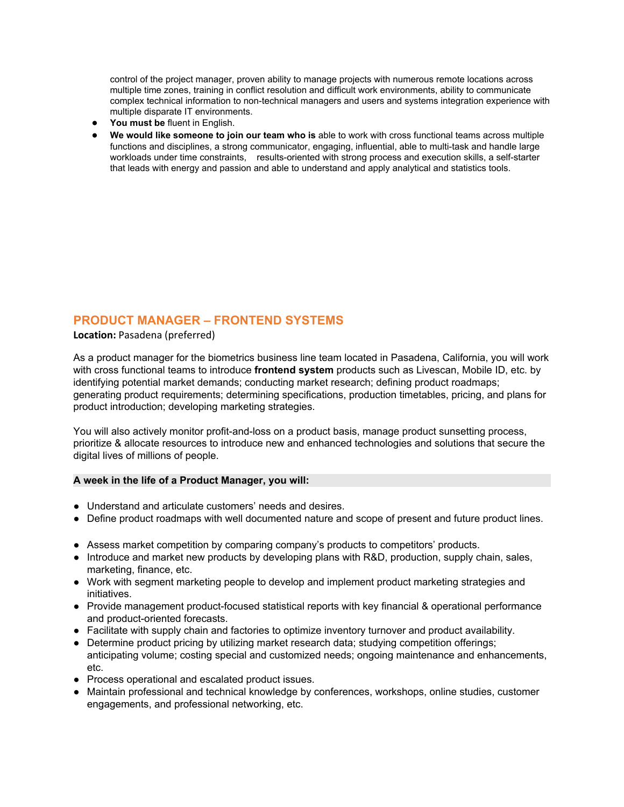control of the project manager, proven ability to manage projects with numerous remote locations across multiple time zones, training in conflict resolution and difficult work environments, ability to communicate complex technical information to non-technical managers and users and systems integration experience with multiple disparate IT environments.

- **You must be** fluent in English.
- **We would like someone to join our team who is** able to work with cross functional teams across multiple functions and disciplines, a strong communicator, engaging, influential, able to multi-task and handle large workloads under time constraints, results-oriented with strong process and execution skills, a self-starter that leads with energy and passion and able to understand and apply analytical and statistics tools.

# **PRODUCT MANAGER – FRONTEND SYSTEMS**

**Location:** Pasadena (preferred)

As a product manager for the biometrics business line team located in Pasadena, California, you will work with cross functional teams to introduce **frontend system** products such as Livescan, Mobile ID, etc. by identifying potential market demands; conducting market research; defining product roadmaps; generating product requirements; determining specifications, production timetables, pricing, and plans for product introduction; developing marketing strategies.

You will also actively monitor profit-and-loss on a product basis, manage product sunsetting process, prioritize & allocate resources to introduce new and enhanced technologies and solutions that secure the digital lives of millions of people.

## **A week in the life of a Product Manager, you will:**

- Understand and articulate customers' needs and desires.
- Define product roadmaps with well documented nature and scope of present and future product lines.
- Assess market competition by comparing company's products to competitors' products.
- Introduce and market new products by developing plans with R&D, production, supply chain, sales, marketing, finance, etc.
- Work with segment marketing people to develop and implement product marketing strategies and initiatives.
- Provide management product-focused statistical reports with key financial & operational performance and product-oriented forecasts.
- Facilitate with supply chain and factories to optimize inventory turnover and product availability.
- Determine product pricing by utilizing market research data; studying competition offerings; anticipating volume; costing special and customized needs; ongoing maintenance and enhancements, etc.
- Process operational and escalated product issues.
- Maintain professional and technical knowledge by conferences, workshops, online studies, customer engagements, and professional networking, etc.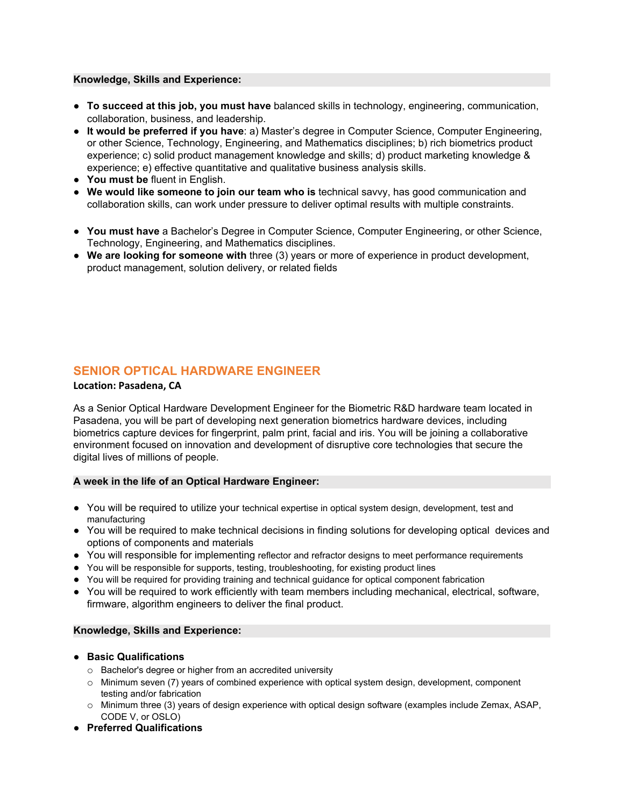## **Knowledge, Skills and Experience:**

- **To succeed at this job, you must have** balanced skills in technology, engineering, communication, collaboration, business, and leadership.
- **It would be preferred if you have**: a) Master's degree in Computer Science, Computer Engineering, or other Science, Technology, Engineering, and Mathematics disciplines; b) rich biometrics product experience; c) solid product management knowledge and skills; d) product marketing knowledge & experience; e) effective quantitative and qualitative business analysis skills.
- **You must be** fluent in English.
- **We would like someone to join our team who is** technical savvy, has good communication and collaboration skills, can work under pressure to deliver optimal results with multiple constraints.
- **You must have** a Bachelor's Degree in Computer Science, Computer Engineering, or other Science, Technology, Engineering, and Mathematics disciplines.
- **We are looking for someone with** three (3) years or more of experience in product development, product management, solution delivery, or related fields

# **SENIOR OPTICAL HARDWARE ENGINEER**

## **Location: Pasadena, CA**

As a Senior Optical Hardware Development Engineer for the Biometric R&D hardware team located in Pasadena, you will be part of developing next generation biometrics hardware devices, including biometrics capture devices for fingerprint, palm print, facial and iris. You will be joining a collaborative environment focused on innovation and development of disruptive core technologies that secure the digital lives of millions of people.

# **A week in the life of an Optical Hardware Engineer:**

- You will be required to utilize your technical expertise in optical system design, development, test and manufacturing
- You will be required to make technical decisions in finding solutions for developing optical devices and options of components and materials
- You will responsible for implementing reflector and refractor designs to meet performance requirements
- You will be responsible for supports, testing, troubleshooting, for existing product lines
- You will be required for providing training and technical guidance for optical component fabrication
- You will be required to work efficiently with team members including mechanical, electrical, software, firmware, algorithm engineers to deliver the final product.

- **Basic Qualifications**
	- o Bachelor's degree or higher from an accredited university
	- o Minimum seven (7) years of combined experience with optical system design, development, component testing and/or fabrication
	- o Minimum three (3) years of design experience with optical design software (examples include Zemax, ASAP, CODE V, or OSLO)
- **● Preferred Qualifications**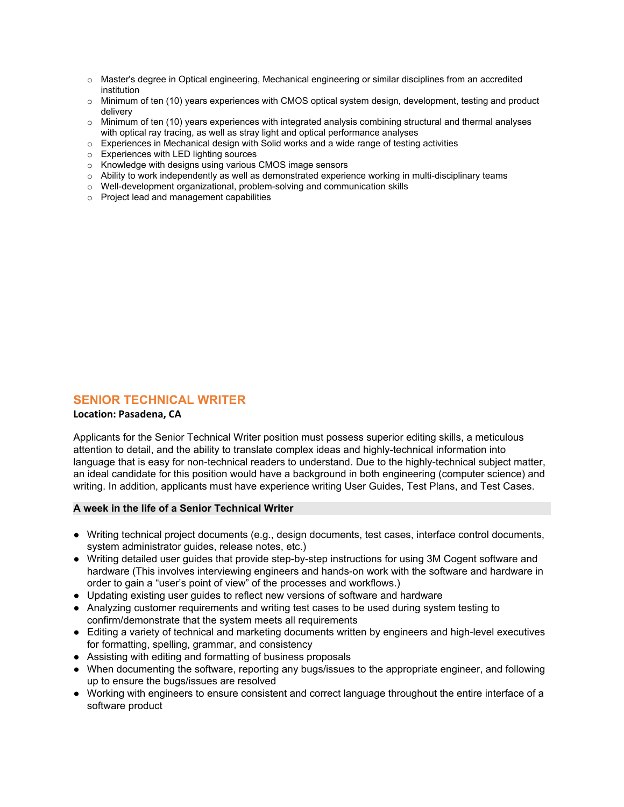- o Master's degree in Optical engineering, Mechanical engineering or similar disciplines from an accredited institution
- o Minimum of ten (10) years experiences with CMOS optical system design, development, testing and product delivery
- o Minimum of ten (10) years experiences with integrated analysis combining structural and thermal analyses with optical ray tracing, as well as stray light and optical performance analyses
- o Experiences in Mechanical design with Solid works and a wide range of testing activities
- o Experiences with LED lighting sources
- o Knowledge with designs using various CMOS image sensors
- $\circ$  Ability to work independently as well as demonstrated experience working in multi-disciplinary teams
- o Well-development organizational, problem-solving and communication skills
- o Project lead and management capabilities

# **SENIOR TECHNICAL WRITER**

## **Location: Pasadena, CA**

Applicants for the Senior Technical Writer position must possess superior editing skills, a meticulous attention to detail, and the ability to translate complex ideas and highly-technical information into language that is easy for non-technical readers to understand. Due to the highly-technical subject matter, an ideal candidate for this position would have a background in both engineering (computer science) and writing. In addition, applicants must have experience writing User Guides, Test Plans, and Test Cases.

#### **A week in the life of a Senior Technical Writer**

- Writing technical project documents (e.g., design documents, test cases, interface control documents, system administrator guides, release notes, etc.)
- Writing detailed user guides that provide step-by-step instructions for using 3M Cogent software and hardware (This involves interviewing engineers and hands-on work with the software and hardware in order to gain a "user's point of view" of the processes and workflows.)
- Updating existing user guides to reflect new versions of software and hardware
- Analyzing customer requirements and writing test cases to be used during system testing to confirm/demonstrate that the system meets all requirements
- Editing a variety of technical and marketing documents written by engineers and high-level executives for formatting, spelling, grammar, and consistency
- Assisting with editing and formatting of business proposals
- When documenting the software, reporting any bugs/issues to the appropriate engineer, and following up to ensure the bugs/issues are resolved
- Working with engineers to ensure consistent and correct language throughout the entire interface of a software product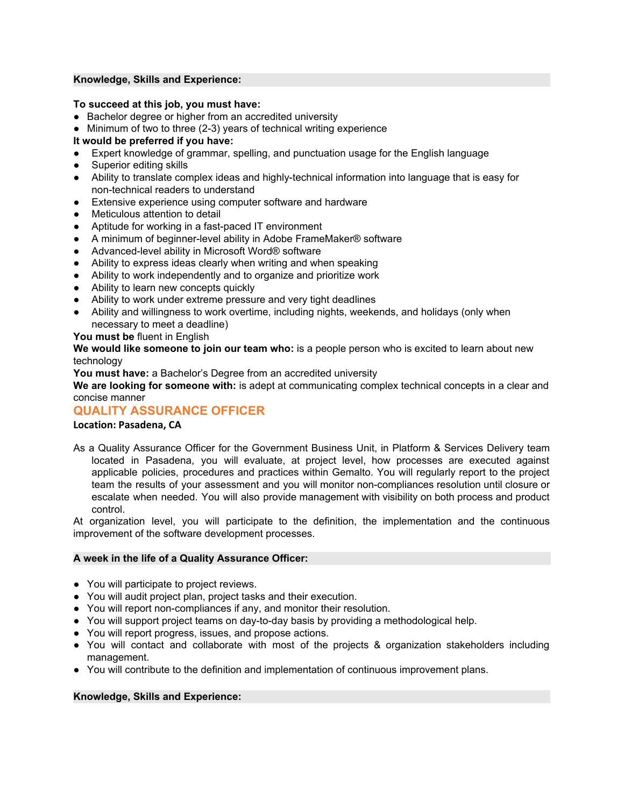## **Knowledge, Skills and Experience:**

## **To succeed at this job, you must have:**

- Bachelor degree or higher from an accredited university
- Minimum of two to three (2-3) years of technical writing experience

# **It would be preferred if you have:**

- Expert knowledge of grammar, spelling, and punctuation usage for the English language
- Superior editing skills
- Ability to translate complex ideas and highly-technical information into language that is easy for non-technical readers to understand
- Extensive experience using computer software and hardware
- Meticulous attention to detail
- Aptitude for working in a fast-paced IT environment
- A minimum of beginner-level ability in Adobe FrameMaker® software
- Advanced-level ability in Microsoft Word® software
- Ability to express ideas clearly when writing and when speaking
- Ability to work independently and to organize and prioritize work
- Ability to learn new concepts quickly
- Ability to work under extreme pressure and very tight deadlines
- Ability and willingness to work overtime, including nights, weekends, and holidays (only when necessary to meet a deadline)

## **You must be** fluent in English

**We would like someone to join our team who:** is a people person who is excited to learn about new technology

**You must have:** a Bachelor's Degree from an accredited university

**We are looking for someone with:** is adept at communicating complex technical concepts in a clear and concise manner

# **QUALITY ASSURANCE OFFICER**

## **Location: Pasadena, CA**

As a Quality Assurance Officer for the Government Business Unit, in Platform & Services Delivery team located in Pasadena, you will evaluate, at project level, how processes are executed against applicable policies, procedures and practices within Gemalto. You will regularly report to the project team the results of your assessment and you will monitor non-compliances resolution until closure or escalate when needed. You will also provide management with visibility on both process and product control.

At organization level, you will participate to the definition, the implementation and the continuous improvement of the software development processes.

## **A week in the life of a Quality Assurance Officer:**

- You will participate to project reviews.
- You will audit project plan, project tasks and their execution.
- You will report non-compliances if any, and monitor their resolution.
- You will support project teams on day-to-day basis by providing a methodological help.
- You will report progress, issues, and propose actions.
- You will contact and collaborate with most of the projects & organization stakeholders including management.
- You will contribute to the definition and implementation of continuous improvement plans.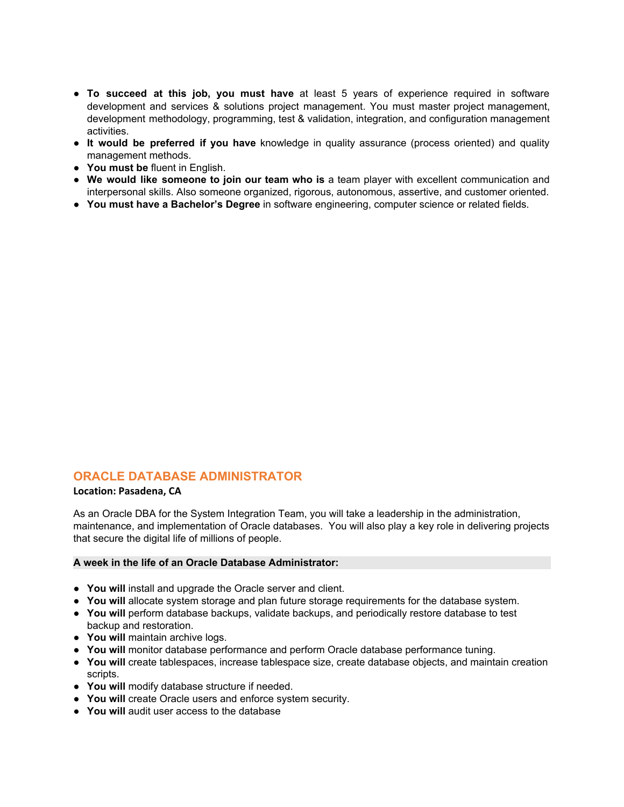- **To succeed at this job, you must have** at least 5 years of experience required in software development and services & solutions project management. You must master project management, development methodology, programming, test & validation, integration, and configuration management activities.
- **It would be preferred if you have** knowledge in quality assurance (process oriented) and quality management methods.
- **You must be** fluent in English.
- **We would like someone to join our team who is** a team player with excellent communication and interpersonal skills. Also someone organized, rigorous, autonomous, assertive, and customer oriented.
- **● You must have a Bachelor's Degree** in software engineering, computer science or related fields.

# **ORACLE DATABASE ADMINISTRATOR**

## **Location: Pasadena, CA**

As an Oracle DBA for the System Integration Team, you will take a leadership in the administration, maintenance, and implementation of Oracle databases. You will also play a key role in delivering projects that secure the digital life of millions of people.

## **A week in the life of an Oracle Database Administrator:**

- **You will** install and upgrade the Oracle server and client.
- **You will** allocate system storage and plan future storage requirements for the database system.
- **You will** perform database backups, validate backups, and periodically restore database to test backup and restoration.
- **You will** maintain archive logs.
- **You will** monitor database performance and perform Oracle database performance tuning.
- **You will** create tablespaces, increase tablespace size, create database objects, and maintain creation scripts.
- **You will** modify database structure if needed.
- **You will** create Oracle users and enforce system security.
- **You will** audit user access to the database